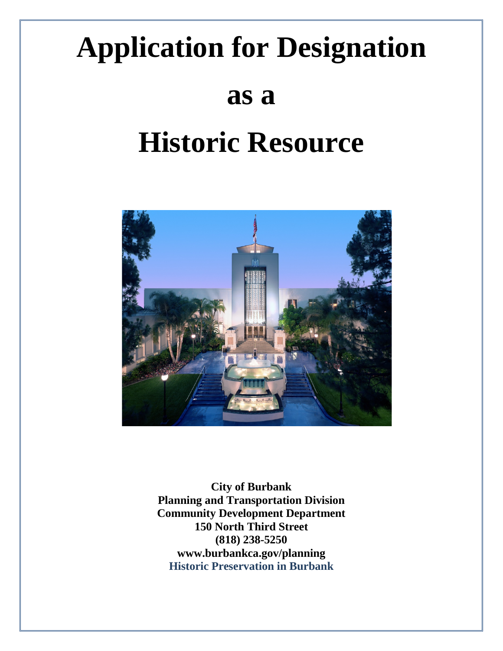# **Application for Designation**

# **as a**

# **Historic Resource**



**City of Burbank Planning and Transportation Division Community Development Department 150 North Third Street (818) 238-5250 www.burbankca.gov/planning Historic Preservation in Burbank**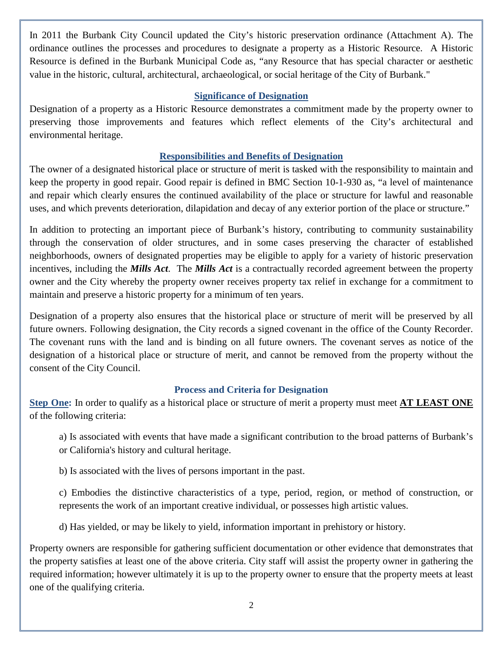In 2011 the Burbank City Council updated the City's historic preservation ordinance (Attachment A). The ordinance outlines the processes and procedures to designate a property as a Historic Resource. A Historic Resource is defined in the Burbank Municipal Code as, "any Resource that has special character or aesthetic value in the historic, cultural, architectural, archaeological, or social heritage of the City of Burbank."

#### **Significance of Designation**

Designation of a property as a Historic Resource demonstrates a commitment made by the property owner to preserving those improvements and features which reflect elements of the City's architectural and environmental heritage.

### **Responsibilities and Benefits of Designation**

The owner of a designated historical place or structure of merit is tasked with the responsibility to maintain and keep the property in good repair. Good repair is defined in BMC Section 10-1-930 as, "a level of maintenance and repair which clearly ensures the continued availability of the place or structure for lawful and reasonable uses, and which prevents deterioration, dilapidation and decay of any exterior portion of the place or structure."

In addition to protecting an important piece of Burbank's history, contributing to community sustainability through the conservation of older structures, and in some cases preserving the character of established neighborhoods, owners of designated properties may be eligible to apply for a variety of historic preservation incentives, including the *Mills Act*. The *Mills Act* is a contractually recorded agreement between the property owner and the City whereby the property owner receives property tax relief in exchange for a commitment to maintain and preserve a historic property for a minimum of ten years.

Designation of a property also ensures that the historical place or structure of merit will be preserved by all future owners. Following designation, the City records a signed covenant in the office of the County Recorder. The covenant runs with the land and is binding on all future owners. The covenant serves as notice of the designation of a historical place or structure of merit, and cannot be removed from the property without the consent of the City Council.

# **Process and Criteria for Designation**

**Step One:** In order to qualify as a historical place or structure of merit a property must meet **AT LEAST ONE** of the following criteria:

a) Is associated with events that have made a significant contribution to the broad patterns of Burbank's or California's history and cultural heritage.

b) Is associated with the lives of persons important in the past.

c) Embodies the distinctive characteristics of a type, period, region, or method of construction, or represents the work of an important creative individual, or possesses high artistic values.

d) Has yielded, or may be likely to yield, information important in prehistory or history.

Property owners are responsible for gathering sufficient documentation or other evidence that demonstrates that the property satisfies at least one of the above criteria. City staff will assist the property owner in gathering the required information; however ultimately it is up to the property owner to ensure that the property meets at least one of the qualifying criteria.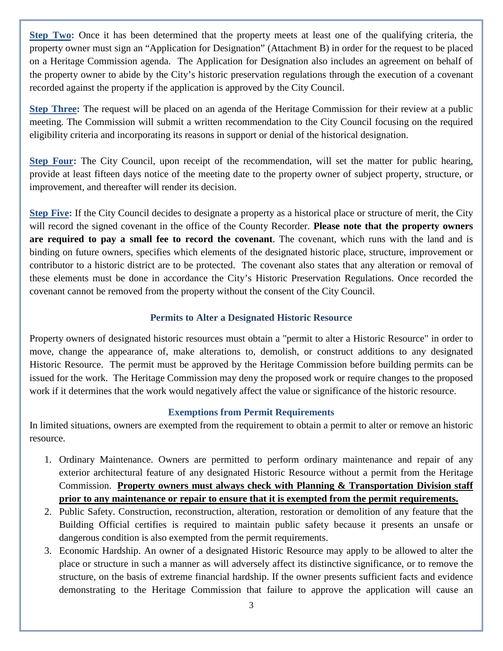**Step Two:** Once it has been determined that the property meets at least one of the qualifying criteria, the property owner must sign an "Application for Designation" (Attachment B) in order for the request to be placed on a Heritage Commission agenda. The Application for Designation also includes an agreement on behalf of the property owner to abide by the City's historic preservation regulations through the execution of a covenant recorded against the property if the application is approved by the City Council.

**Step Three:** The request will be placed on an agenda of the Heritage Commission for their review at a public meeting. The Commission will submit a written recommendation to the City Council focusing on the required eligibility criteria and incorporating its reasons in support or denial of the historical designation.

**Step Four:** The City Council, upon receipt of the recommendation, will set the matter for public hearing, provide at least fifteen days notice of the meeting date to the property owner of subject property, structure, or improvement, and thereafter will render its decision.

**Step Five:** If the City Council decides to designate a property as a historical place or structure of merit, the City will record the signed covenant in the office of the County Recorder. **Please note that the property owners are required to pay a small fee to record the covenant**. The covenant, which runs with the land and is binding on future owners, specifies which elements of the designated historic place, structure, improvement or contributor to a historic district are to be protected. The covenant also states that any alteration or removal of these elements must be done in accordance the City's Historic Preservation Regulations. Once recorded the covenant cannot be removed from the property without the consent of the City Council.

# **Permits to Alter a Designated Historic Resource**

Property owners of designated historic resources must obtain a "permit to alter a Historic Resource" in order to move, change the appearance of, make alterations to, demolish, or construct additions to any designated Historic Resource. The permit must be approved by the Heritage Commission before building permits can be issued for the work. The Heritage Commission may deny the proposed work or require changes to the proposed work if it determines that the work would negatively affect the value or significance of the historic resource.

#### **Exemptions from Permit Requirements**

In limited situations, owners are exempted from the requirement to obtain a permit to alter or remove an historic resource.

- 1. Ordinary Maintenance. Owners are permitted to perform ordinary maintenance and repair of any exterior architectural feature of any designated Historic Resource without a permit from the Heritage Commission. **Property owners must always check with Planning & Transportation Division staff prior to any maintenance or repair to ensure that it is exempted from the permit requirements.**
- 2. Public Safety. Construction, reconstruction, alteration, restoration or demolition of any feature that the Building Official certifies is required to maintain public safety because it presents an unsafe or dangerous condition is also exempted from the permit requirements.
- 3. Economic Hardship. An owner of a designated Historic Resource may apply to be allowed to alter the place or structure in such a manner as will adversely affect its distinctive significance, or to remove the structure, on the basis of extreme financial hardship. If the owner presents sufficient facts and evidence demonstrating to the Heritage Commission that failure to approve the application will cause an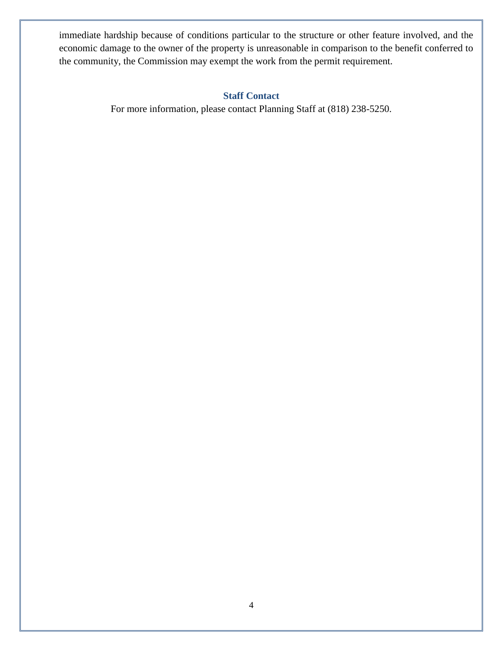immediate hardship because of conditions particular to the structure or other feature involved, and the economic damage to the owner of the property is unreasonable in comparison to the benefit conferred to the community, the Commission may exempt the work from the permit requirement.

#### **Staff Contact**

For more information, please contact Planning Staff at (818) 238-5250.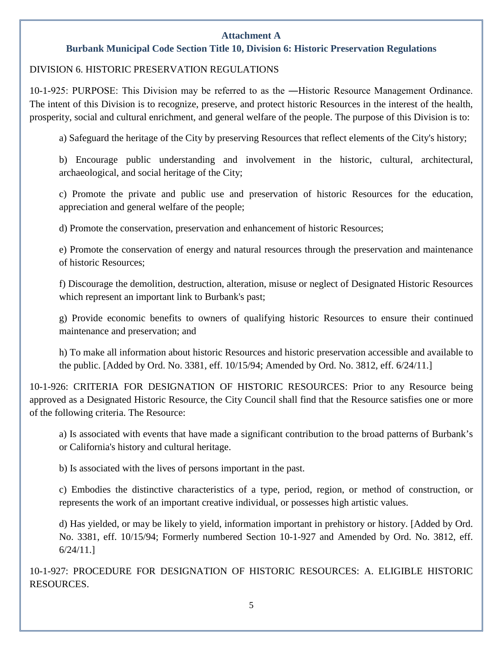#### **Attachment A**

### **Burbank Municipal Code Section Title 10, Division 6: Historic Preservation Regulations**

#### DIVISION 6. HISTORIC PRESERVATION REGULATIONS

10-1-925: PURPOSE: This Division may be referred to as the ―Historic Resource Management Ordinance. The intent of this Division is to recognize, preserve, and protect historic Resources in the interest of the health, prosperity, social and cultural enrichment, and general welfare of the people. The purpose of this Division is to:

a) Safeguard the heritage of the City by preserving Resources that reflect elements of the City's history;

b) Encourage public understanding and involvement in the historic, cultural, architectural, archaeological, and social heritage of the City;

c) Promote the private and public use and preservation of historic Resources for the education, appreciation and general welfare of the people;

d) Promote the conservation, preservation and enhancement of historic Resources;

e) Promote the conservation of energy and natural resources through the preservation and maintenance of historic Resources;

f) Discourage the demolition, destruction, alteration, misuse or neglect of Designated Historic Resources which represent an important link to Burbank's past;

g) Provide economic benefits to owners of qualifying historic Resources to ensure their continued maintenance and preservation; and

h) To make all information about historic Resources and historic preservation accessible and available to the public. [Added by Ord. No. 3381, eff. 10/15/94; Amended by Ord. No. 3812, eff. 6/24/11.]

10-1-926: CRITERIA FOR DESIGNATION OF HISTORIC RESOURCES: Prior to any Resource being approved as a Designated Historic Resource, the City Council shall find that the Resource satisfies one or more of the following criteria. The Resource:

a) Is associated with events that have made a significant contribution to the broad patterns of Burbank's or California's history and cultural heritage.

b) Is associated with the lives of persons important in the past.

c) Embodies the distinctive characteristics of a type, period, region, or method of construction, or represents the work of an important creative individual, or possesses high artistic values.

d) Has yielded, or may be likely to yield, information important in prehistory or history. [Added by Ord. No. 3381, eff. 10/15/94; Formerly numbered Section 10-1-927 and Amended by Ord. No. 3812, eff. 6/24/11.]

10-1-927: PROCEDURE FOR DESIGNATION OF HISTORIC RESOURCES: A. ELIGIBLE HISTORIC RESOURCES.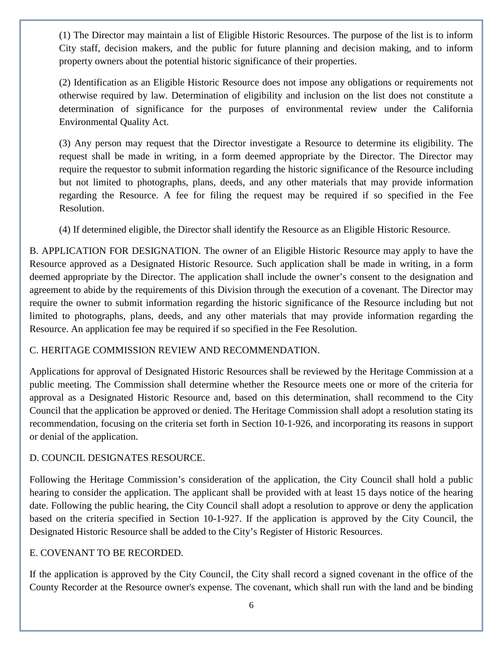(1) The Director may maintain a list of Eligible Historic Resources. The purpose of the list is to inform City staff, decision makers, and the public for future planning and decision making, and to inform property owners about the potential historic significance of their properties.

(2) Identification as an Eligible Historic Resource does not impose any obligations or requirements not otherwise required by law. Determination of eligibility and inclusion on the list does not constitute a determination of significance for the purposes of environmental review under the California Environmental Quality Act.

(3) Any person may request that the Director investigate a Resource to determine its eligibility. The request shall be made in writing, in a form deemed appropriate by the Director. The Director may require the requestor to submit information regarding the historic significance of the Resource including but not limited to photographs, plans, deeds, and any other materials that may provide information regarding the Resource. A fee for filing the request may be required if so specified in the Fee Resolution.

(4) If determined eligible, the Director shall identify the Resource as an Eligible Historic Resource.

B. APPLICATION FOR DESIGNATION. The owner of an Eligible Historic Resource may apply to have the Resource approved as a Designated Historic Resource. Such application shall be made in writing, in a form deemed appropriate by the Director. The application shall include the owner's consent to the designation and agreement to abide by the requirements of this Division through the execution of a covenant. The Director may require the owner to submit information regarding the historic significance of the Resource including but not limited to photographs, plans, deeds, and any other materials that may provide information regarding the Resource. An application fee may be required if so specified in the Fee Resolution.

#### C. HERITAGE COMMISSION REVIEW AND RECOMMENDATION.

Applications for approval of Designated Historic Resources shall be reviewed by the Heritage Commission at a public meeting. The Commission shall determine whether the Resource meets one or more of the criteria for approval as a Designated Historic Resource and, based on this determination, shall recommend to the City Council that the application be approved or denied. The Heritage Commission shall adopt a resolution stating its recommendation, focusing on the criteria set forth in Section 10-1-926, and incorporating its reasons in support or denial of the application.

#### D. COUNCIL DESIGNATES RESOURCE.

Following the Heritage Commission's consideration of the application, the City Council shall hold a public hearing to consider the application. The applicant shall be provided with at least 15 days notice of the hearing date. Following the public hearing, the City Council shall adopt a resolution to approve or deny the application based on the criteria specified in Section 10-1-927. If the application is approved by the City Council, the Designated Historic Resource shall be added to the City's Register of Historic Resources.

#### E. COVENANT TO BE RECORDED.

If the application is approved by the City Council, the City shall record a signed covenant in the office of the County Recorder at the Resource owner's expense. The covenant, which shall run with the land and be binding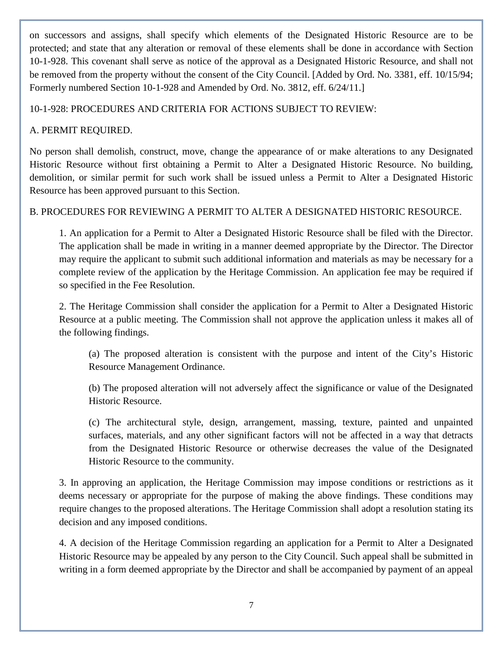on successors and assigns, shall specify which elements of the Designated Historic Resource are to be protected; and state that any alteration or removal of these elements shall be done in accordance with Section 10-1-928. This covenant shall serve as notice of the approval as a Designated Historic Resource, and shall not be removed from the property without the consent of the City Council. [Added by Ord. No. 3381, eff. 10/15/94; Formerly numbered Section 10-1-928 and Amended by Ord. No. 3812, eff. 6/24/11.]

# 10-1-928: PROCEDURES AND CRITERIA FOR ACTIONS SUBJECT TO REVIEW:

# A. PERMIT REQUIRED.

No person shall demolish, construct, move, change the appearance of or make alterations to any Designated Historic Resource without first obtaining a Permit to Alter a Designated Historic Resource. No building, demolition, or similar permit for such work shall be issued unless a Permit to Alter a Designated Historic Resource has been approved pursuant to this Section.

# B. PROCEDURES FOR REVIEWING A PERMIT TO ALTER A DESIGNATED HISTORIC RESOURCE.

1. An application for a Permit to Alter a Designated Historic Resource shall be filed with the Director. The application shall be made in writing in a manner deemed appropriate by the Director. The Director may require the applicant to submit such additional information and materials as may be necessary for a complete review of the application by the Heritage Commission. An application fee may be required if so specified in the Fee Resolution.

2. The Heritage Commission shall consider the application for a Permit to Alter a Designated Historic Resource at a public meeting. The Commission shall not approve the application unless it makes all of the following findings.

(a) The proposed alteration is consistent with the purpose and intent of the City's Historic Resource Management Ordinance.

(b) The proposed alteration will not adversely affect the significance or value of the Designated Historic Resource.

(c) The architectural style, design, arrangement, massing, texture, painted and unpainted surfaces, materials, and any other significant factors will not be affected in a way that detracts from the Designated Historic Resource or otherwise decreases the value of the Designated Historic Resource to the community.

3. In approving an application, the Heritage Commission may impose conditions or restrictions as it deems necessary or appropriate for the purpose of making the above findings. These conditions may require changes to the proposed alterations. The Heritage Commission shall adopt a resolution stating its decision and any imposed conditions.

4. A decision of the Heritage Commission regarding an application for a Permit to Alter a Designated Historic Resource may be appealed by any person to the City Council. Such appeal shall be submitted in writing in a form deemed appropriate by the Director and shall be accompanied by payment of an appeal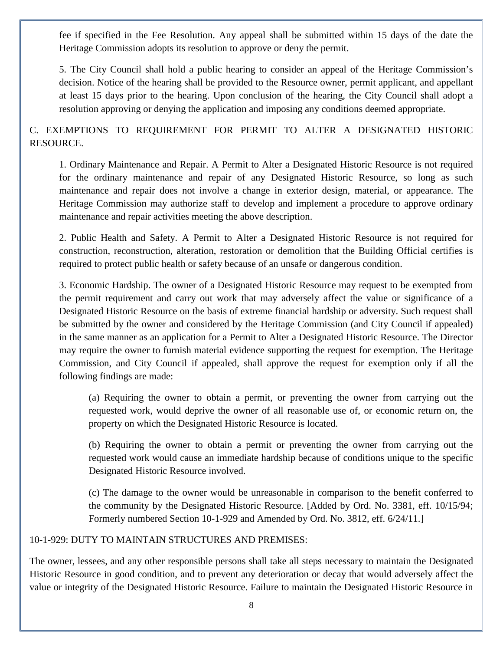fee if specified in the Fee Resolution. Any appeal shall be submitted within 15 days of the date the Heritage Commission adopts its resolution to approve or deny the permit.

5. The City Council shall hold a public hearing to consider an appeal of the Heritage Commission's decision. Notice of the hearing shall be provided to the Resource owner, permit applicant, and appellant at least 15 days prior to the hearing. Upon conclusion of the hearing, the City Council shall adopt a resolution approving or denying the application and imposing any conditions deemed appropriate.

# C. EXEMPTIONS TO REQUIREMENT FOR PERMIT TO ALTER A DESIGNATED HISTORIC RESOURCE.

1. Ordinary Maintenance and Repair. A Permit to Alter a Designated Historic Resource is not required for the ordinary maintenance and repair of any Designated Historic Resource, so long as such maintenance and repair does not involve a change in exterior design, material, or appearance. The Heritage Commission may authorize staff to develop and implement a procedure to approve ordinary maintenance and repair activities meeting the above description.

2. Public Health and Safety. A Permit to Alter a Designated Historic Resource is not required for construction, reconstruction, alteration, restoration or demolition that the Building Official certifies is required to protect public health or safety because of an unsafe or dangerous condition.

3. Economic Hardship. The owner of a Designated Historic Resource may request to be exempted from the permit requirement and carry out work that may adversely affect the value or significance of a Designated Historic Resource on the basis of extreme financial hardship or adversity. Such request shall be submitted by the owner and considered by the Heritage Commission (and City Council if appealed) in the same manner as an application for a Permit to Alter a Designated Historic Resource. The Director may require the owner to furnish material evidence supporting the request for exemption. The Heritage Commission, and City Council if appealed, shall approve the request for exemption only if all the following findings are made:

(a) Requiring the owner to obtain a permit, or preventing the owner from carrying out the requested work, would deprive the owner of all reasonable use of, or economic return on, the property on which the Designated Historic Resource is located.

(b) Requiring the owner to obtain a permit or preventing the owner from carrying out the requested work would cause an immediate hardship because of conditions unique to the specific Designated Historic Resource involved.

(c) The damage to the owner would be unreasonable in comparison to the benefit conferred to the community by the Designated Historic Resource. [Added by Ord. No. 3381, eff. 10/15/94; Formerly numbered Section 10-1-929 and Amended by Ord. No. 3812, eff. 6/24/11.]

#### 10-1-929: DUTY TO MAINTAIN STRUCTURES AND PREMISES:

The owner, lessees, and any other responsible persons shall take all steps necessary to maintain the Designated Historic Resource in good condition, and to prevent any deterioration or decay that would adversely affect the value or integrity of the Designated Historic Resource. Failure to maintain the Designated Historic Resource in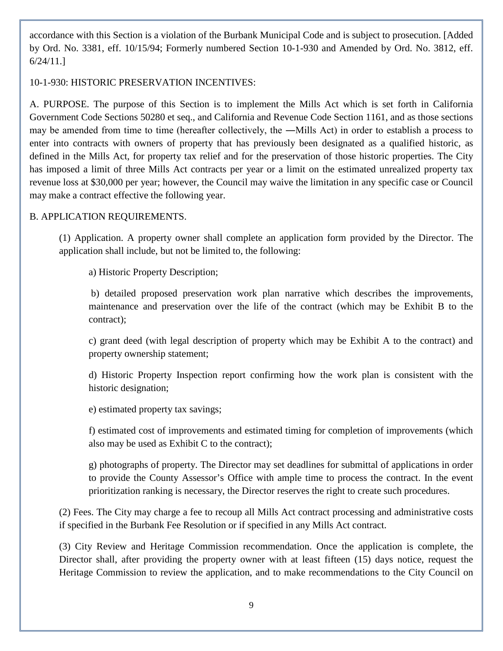accordance with this Section is a violation of the Burbank Municipal Code and is subject to prosecution. [Added by Ord. No. 3381, eff. 10/15/94; Formerly numbered Section 10-1-930 and Amended by Ord. No. 3812, eff. 6/24/11.]

#### 10-1-930: HISTORIC PRESERVATION INCENTIVES:

A. PURPOSE. The purpose of this Section is to implement the Mills Act which is set forth in California Government Code Sections 50280 et seq., and California and Revenue Code Section 1161, and as those sections may be amended from time to time (hereafter collectively, the ―Mills Act) in order to establish a process to enter into contracts with owners of property that has previously been designated as a qualified historic, as defined in the Mills Act, for property tax relief and for the preservation of those historic properties. The City has imposed a limit of three Mills Act contracts per year or a limit on the estimated unrealized property tax revenue loss at \$30,000 per year; however, the Council may waive the limitation in any specific case or Council may make a contract effective the following year.

#### B. APPLICATION REQUIREMENTS.

(1) Application. A property owner shall complete an application form provided by the Director. The application shall include, but not be limited to, the following:

a) Historic Property Description;

b) detailed proposed preservation work plan narrative which describes the improvements, maintenance and preservation over the life of the contract (which may be Exhibit B to the contract);

c) grant deed (with legal description of property which may be Exhibit A to the contract) and property ownership statement;

d) Historic Property Inspection report confirming how the work plan is consistent with the historic designation;

e) estimated property tax savings;

f) estimated cost of improvements and estimated timing for completion of improvements (which also may be used as Exhibit C to the contract);

g) photographs of property. The Director may set deadlines for submittal of applications in order to provide the County Assessor's Office with ample time to process the contract. In the event prioritization ranking is necessary, the Director reserves the right to create such procedures.

(2) Fees. The City may charge a fee to recoup all Mills Act contract processing and administrative costs if specified in the Burbank Fee Resolution or if specified in any Mills Act contract.

(3) City Review and Heritage Commission recommendation. Once the application is complete, the Director shall, after providing the property owner with at least fifteen (15) days notice, request the Heritage Commission to review the application, and to make recommendations to the City Council on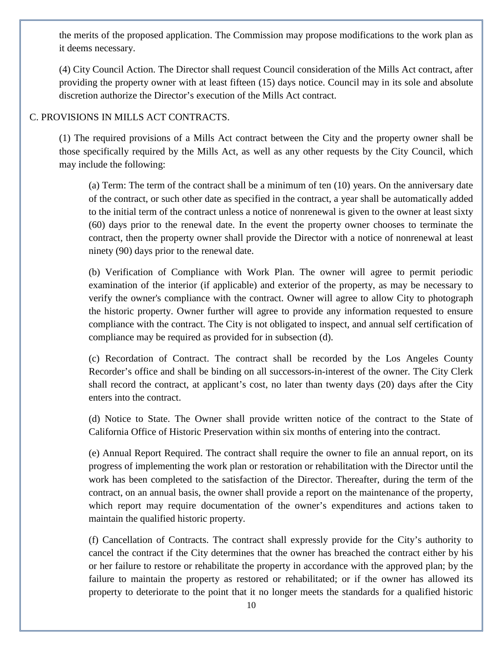the merits of the proposed application. The Commission may propose modifications to the work plan as it deems necessary.

(4) City Council Action. The Director shall request Council consideration of the Mills Act contract, after providing the property owner with at least fifteen (15) days notice. Council may in its sole and absolute discretion authorize the Director's execution of the Mills Act contract.

# C. PROVISIONS IN MILLS ACT CONTRACTS.

(1) The required provisions of a Mills Act contract between the City and the property owner shall be those specifically required by the Mills Act, as well as any other requests by the City Council, which may include the following:

(a) Term: The term of the contract shall be a minimum of ten (10) years. On the anniversary date of the contract, or such other date as specified in the contract, a year shall be automatically added to the initial term of the contract unless a notice of nonrenewal is given to the owner at least sixty (60) days prior to the renewal date. In the event the property owner chooses to terminate the contract, then the property owner shall provide the Director with a notice of nonrenewal at least ninety (90) days prior to the renewal date.

(b) Verification of Compliance with Work Plan. The owner will agree to permit periodic examination of the interior (if applicable) and exterior of the property, as may be necessary to verify the owner's compliance with the contract. Owner will agree to allow City to photograph the historic property. Owner further will agree to provide any information requested to ensure compliance with the contract. The City is not obligated to inspect, and annual self certification of compliance may be required as provided for in subsection (d).

(c) Recordation of Contract. The contract shall be recorded by the Los Angeles County Recorder's office and shall be binding on all successors-in-interest of the owner. The City Clerk shall record the contract, at applicant's cost, no later than twenty days (20) days after the City enters into the contract.

(d) Notice to State. The Owner shall provide written notice of the contract to the State of California Office of Historic Preservation within six months of entering into the contract.

(e) Annual Report Required. The contract shall require the owner to file an annual report, on its progress of implementing the work plan or restoration or rehabilitation with the Director until the work has been completed to the satisfaction of the Director. Thereafter, during the term of the contract, on an annual basis, the owner shall provide a report on the maintenance of the property, which report may require documentation of the owner's expenditures and actions taken to maintain the qualified historic property.

(f) Cancellation of Contracts. The contract shall expressly provide for the City's authority to cancel the contract if the City determines that the owner has breached the contract either by his or her failure to restore or rehabilitate the property in accordance with the approved plan; by the failure to maintain the property as restored or rehabilitated; or if the owner has allowed its property to deteriorate to the point that it no longer meets the standards for a qualified historic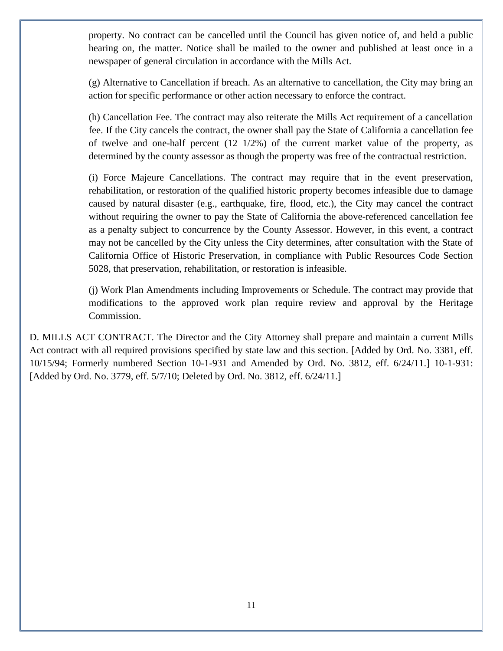property. No contract can be cancelled until the Council has given notice of, and held a public hearing on, the matter. Notice shall be mailed to the owner and published at least once in a newspaper of general circulation in accordance with the Mills Act.

(g) Alternative to Cancellation if breach. As an alternative to cancellation, the City may bring an action for specific performance or other action necessary to enforce the contract.

(h) Cancellation Fee. The contract may also reiterate the Mills Act requirement of a cancellation fee. If the City cancels the contract, the owner shall pay the State of California a cancellation fee of twelve and one-half percent (12 1/2%) of the current market value of the property, as determined by the county assessor as though the property was free of the contractual restriction.

(i) Force Majeure Cancellations. The contract may require that in the event preservation, rehabilitation, or restoration of the qualified historic property becomes infeasible due to damage caused by natural disaster (e.g., earthquake, fire, flood, etc.), the City may cancel the contract without requiring the owner to pay the State of California the above-referenced cancellation fee as a penalty subject to concurrence by the County Assessor. However, in this event, a contract may not be cancelled by the City unless the City determines, after consultation with the State of California Office of Historic Preservation, in compliance with Public Resources Code Section 5028, that preservation, rehabilitation, or restoration is infeasible.

(j) Work Plan Amendments including Improvements or Schedule. The contract may provide that modifications to the approved work plan require review and approval by the Heritage Commission.

D. MILLS ACT CONTRACT. The Director and the City Attorney shall prepare and maintain a current Mills Act contract with all required provisions specified by state law and this section. [Added by Ord. No. 3381, eff. 10/15/94; Formerly numbered Section 10-1-931 and Amended by Ord. No. 3812, eff. 6/24/11.] 10-1-931: [Added by Ord. No. 3779, eff. 5/7/10; Deleted by Ord. No. 3812, eff. 6/24/11.]